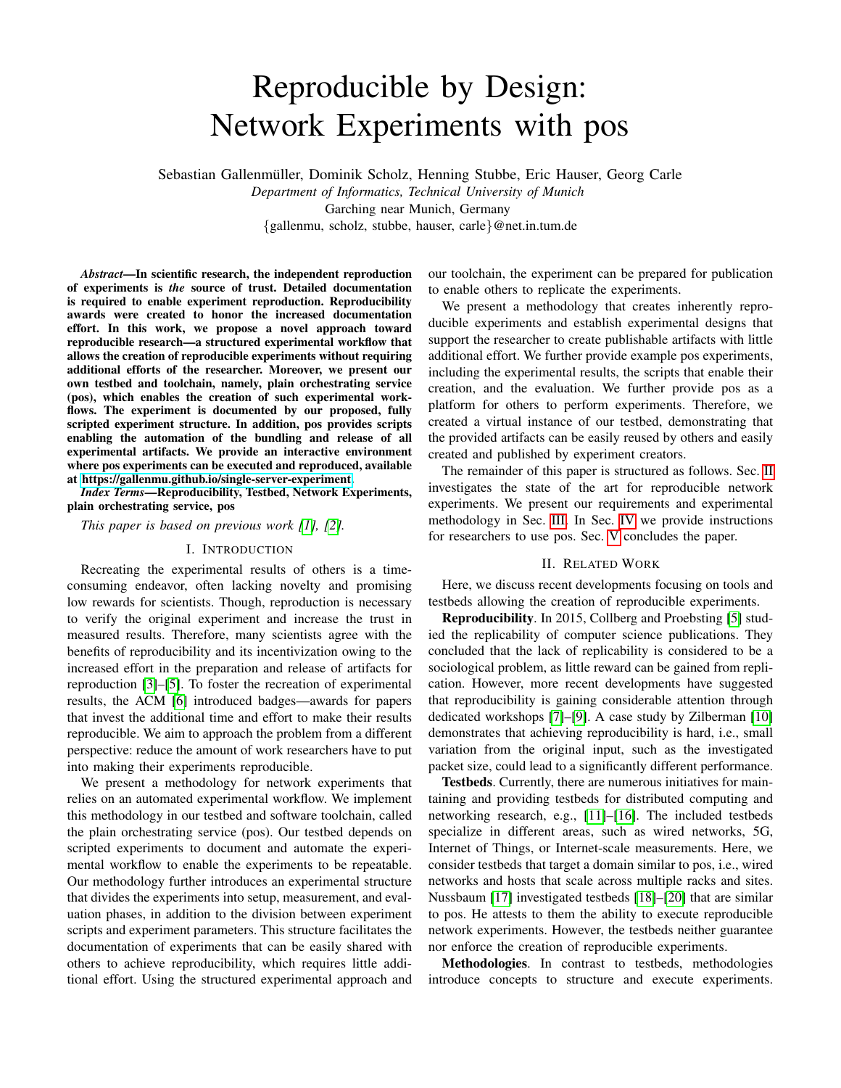# Reproducible by Design: Network Experiments with pos

Sebastian Gallenmuller, Dominik Scholz, Henning Stubbe, Eric Hauser, Georg Carle ¨

*Department of Informatics, Technical University of Munich* Garching near Munich, Germany {gallenmu, scholz, stubbe, hauser, carle}@net.in.tum.de

*Abstract*—In scientific research, the independent reproduction of experiments is *the* source of trust. Detailed documentation is required to enable experiment reproduction. Reproducibility awards were created to honor the increased documentation effort. In this work, we propose a novel approach toward reproducible research—a structured experimental workflow that allows the creation of reproducible experiments without requiring additional efforts of the researcher. Moreover, we present our own testbed and toolchain, namely, plain orchestrating service (pos), which enables the creation of such experimental workflows. The experiment is documented by our proposed, fully scripted experiment structure. In addition, pos provides scripts enabling the automation of the bundling and release of all experimental artifacts. We provide an interactive environment where pos experiments can be executed and reproduced, available at [https://gallenmu.github.io/single-server-experiment.](https://gallenmu.github.io/single-server-experiment)

*Index Terms*—Reproducibility, Testbed, Network Experiments, plain orchestrating service, pos

*This paper is based on previous work [\[1\]](#page-3-0), [\[2\]](#page-3-1).*

## I. INTRODUCTION

Recreating the experimental results of others is a timeconsuming endeavor, often lacking novelty and promising low rewards for scientists. Though, reproduction is necessary to verify the original experiment and increase the trust in measured results. Therefore, many scientists agree with the benefits of reproducibility and its incentivization owing to the increased effort in the preparation and release of artifacts for reproduction [\[3\]](#page-3-2)–[\[5\]](#page-3-3). To foster the recreation of experimental results, the ACM [\[6\]](#page-3-4) introduced badges—awards for papers that invest the additional time and effort to make their results reproducible. We aim to approach the problem from a different perspective: reduce the amount of work researchers have to put into making their experiments reproducible.

We present a methodology for network experiments that relies on an automated experimental workflow. We implement this methodology in our testbed and software toolchain, called the plain orchestrating service (pos). Our testbed depends on scripted experiments to document and automate the experimental workflow to enable the experiments to be repeatable. Our methodology further introduces an experimental structure that divides the experiments into setup, measurement, and evaluation phases, in addition to the division between experiment scripts and experiment parameters. This structure facilitates the documentation of experiments that can be easily shared with others to achieve reproducibility, which requires little additional effort. Using the structured experimental approach and

our toolchain, the experiment can be prepared for publication to enable others to replicate the experiments.

We present a methodology that creates inherently reproducible experiments and establish experimental designs that support the researcher to create publishable artifacts with little additional effort. We further provide example pos experiments, including the experimental results, the scripts that enable their creation, and the evaluation. We further provide pos as a platform for others to perform experiments. Therefore, we created a virtual instance of our testbed, demonstrating that the provided artifacts can be easily reused by others and easily created and published by experiment creators.

The remainder of this paper is structured as follows. Sec. [II](#page-0-0) investigates the state of the art for reproducible network experiments. We present our requirements and experimental methodology in Sec. [III.](#page-1-0) In Sec. [IV](#page-2-0) we provide instructions for researchers to use pos. Sec. [V](#page-2-1) concludes the paper.

## II. RELATED WORK

<span id="page-0-0"></span>Here, we discuss recent developments focusing on tools and testbeds allowing the creation of reproducible experiments.

Reproducibility. In 2015, Collberg and Proebsting [\[5\]](#page-3-3) studied the replicability of computer science publications. They concluded that the lack of replicability is considered to be a sociological problem, as little reward can be gained from replication. However, more recent developments have suggested that reproducibility is gaining considerable attention through dedicated workshops [\[7\]](#page-3-5)–[\[9\]](#page-3-6). A case study by Zilberman [\[10\]](#page-3-7) demonstrates that achieving reproducibility is hard, i.e., small variation from the original input, such as the investigated packet size, could lead to a significantly different performance.

Testbeds. Currently, there are numerous initiatives for maintaining and providing testbeds for distributed computing and networking research, e.g., [\[11\]](#page-3-8)–[\[16\]](#page-3-9). The included testbeds specialize in different areas, such as wired networks, 5G, Internet of Things, or Internet-scale measurements. Here, we consider testbeds that target a domain similar to pos, i.e., wired networks and hosts that scale across multiple racks and sites. Nussbaum [\[17\]](#page-3-10) investigated testbeds [\[18\]](#page-3-11)–[\[20\]](#page-3-12) that are similar to pos. He attests to them the ability to execute reproducible network experiments. However, the testbeds neither guarantee nor enforce the creation of reproducible experiments.

Methodologies. In contrast to testbeds, methodologies introduce concepts to structure and execute experiments.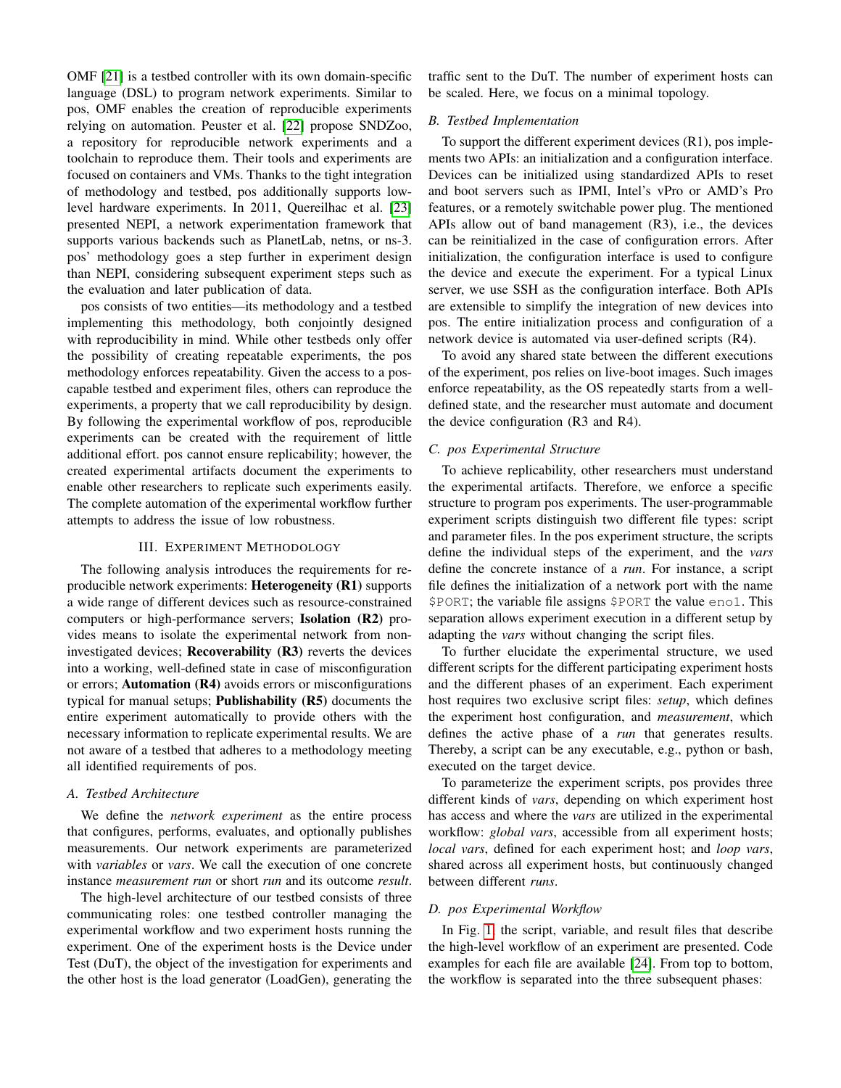OMF [\[21\]](#page-3-13) is a testbed controller with its own domain-specific language (DSL) to program network experiments. Similar to pos, OMF enables the creation of reproducible experiments relying on automation. Peuster et al. [\[22\]](#page-3-14) propose SNDZoo, a repository for reproducible network experiments and a toolchain to reproduce them. Their tools and experiments are focused on containers and VMs. Thanks to the tight integration of methodology and testbed, pos additionally supports lowlevel hardware experiments. In 2011, Quereilhac et al. [\[23\]](#page-3-15) presented NEPI, a network experimentation framework that supports various backends such as PlanetLab, netns, or ns-3. pos' methodology goes a step further in experiment design than NEPI, considering subsequent experiment steps such as the evaluation and later publication of data.

pos consists of two entities—its methodology and a testbed implementing this methodology, both conjointly designed with reproducibility in mind. While other testbeds only offer the possibility of creating repeatable experiments, the pos methodology enforces repeatability. Given the access to a poscapable testbed and experiment files, others can reproduce the experiments, a property that we call reproducibility by design. By following the experimental workflow of pos, reproducible experiments can be created with the requirement of little additional effort. pos cannot ensure replicability; however, the created experimental artifacts document the experiments to enable other researchers to replicate such experiments easily. The complete automation of the experimental workflow further attempts to address the issue of low robustness.

## III. EXPERIMENT METHODOLOGY

<span id="page-1-0"></span>The following analysis introduces the requirements for reproducible network experiments: Heterogeneity (R1) supports a wide range of different devices such as resource-constrained computers or high-performance servers; Isolation (R2) provides means to isolate the experimental network from noninvestigated devices; **Recoverability**  $(R3)$  reverts the devices into a working, well-defined state in case of misconfiguration or errors; Automation (R4) avoids errors or misconfigurations typical for manual setups; Publishability  $(R5)$  documents the entire experiment automatically to provide others with the necessary information to replicate experimental results. We are not aware of a testbed that adheres to a methodology meeting all identified requirements of pos.

# *A. Testbed Architecture*

We define the *network experiment* as the entire process that configures, performs, evaluates, and optionally publishes measurements. Our network experiments are parameterized with *variables* or *vars*. We call the execution of one concrete instance *measurement run* or short *run* and its outcome *result*.

The high-level architecture of our testbed consists of three communicating roles: one testbed controller managing the experimental workflow and two experiment hosts running the experiment. One of the experiment hosts is the Device under Test (DuT), the object of the investigation for experiments and the other host is the load generator (LoadGen), generating the

traffic sent to the DuT. The number of experiment hosts can be scaled. Here, we focus on a minimal topology.

## *B. Testbed Implementation*

To support the different experiment devices (R1), pos implements two APIs: an initialization and a configuration interface. Devices can be initialized using standardized APIs to reset and boot servers such as IPMI, Intel's vPro or AMD's Pro features, or a remotely switchable power plug. The mentioned APIs allow out of band management (R3), i.e., the devices can be reinitialized in the case of configuration errors. After initialization, the configuration interface is used to configure the device and execute the experiment. For a typical Linux server, we use SSH as the configuration interface. Both APIs are extensible to simplify the integration of new devices into pos. The entire initialization process and configuration of a network device is automated via user-defined scripts (R4).

To avoid any shared state between the different executions of the experiment, pos relies on live-boot images. Such images enforce repeatability, as the OS repeatedly starts from a welldefined state, and the researcher must automate and document the device configuration (R3 and R4).

## *C. pos Experimental Structure*

To achieve replicability, other researchers must understand the experimental artifacts. Therefore, we enforce a specific structure to program pos experiments. The user-programmable experiment scripts distinguish two different file types: script and parameter files. In the pos experiment structure, the scripts define the individual steps of the experiment, and the *vars* define the concrete instance of a *run*. For instance, a script file defines the initialization of a network port with the name \$PORT; the variable file assigns \$PORT the value eno1. This separation allows experiment execution in a different setup by adapting the *vars* without changing the script files.

To further elucidate the experimental structure, we used different scripts for the different participating experiment hosts and the different phases of an experiment. Each experiment host requires two exclusive script files: *setup*, which defines the experiment host configuration, and *measurement*, which defines the active phase of a *run* that generates results. Thereby, a script can be any executable, e.g., python or bash, executed on the target device.

To parameterize the experiment scripts, pos provides three different kinds of *vars*, depending on which experiment host has access and where the *vars* are utilized in the experimental workflow: *global vars*, accessible from all experiment hosts; *local vars*, defined for each experiment host; and *loop vars*, shared across all experiment hosts, but continuously changed between different *runs*.

#### *D. pos Experimental Workflow*

In Fig. [1,](#page-2-2) the script, variable, and result files that describe the high-level workflow of an experiment are presented. Code examples for each file are available [\[24\]](#page-3-16). From top to bottom, the workflow is separated into the three subsequent phases: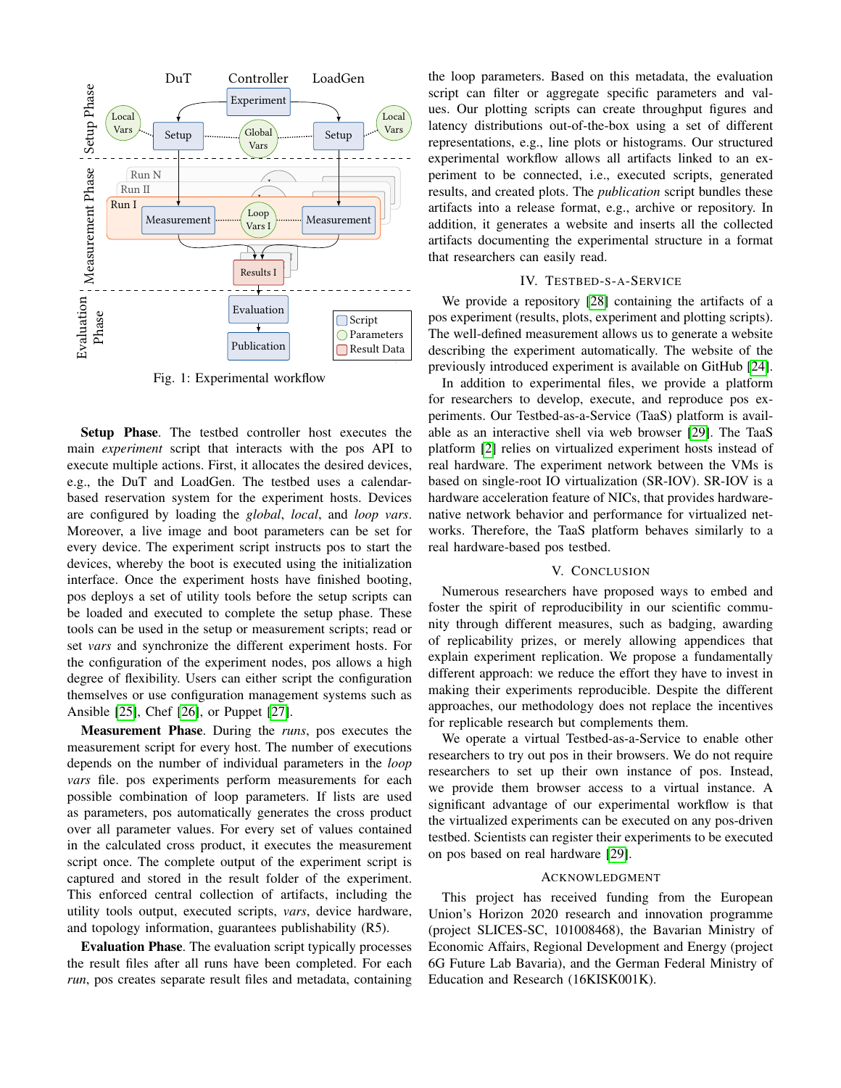<span id="page-2-2"></span>

Fig. 1: Experimental workflow

Setup Phase. The testbed controller host executes the main *experiment* script that interacts with the pos API to execute multiple actions. First, it allocates the desired devices, e.g., the DuT and LoadGen. The testbed uses a calendarbased reservation system for the experiment hosts. Devices are configured by loading the *global*, *local*, and *loop vars*. Moreover, a live image and boot parameters can be set for every device. The experiment script instructs pos to start the devices, whereby the boot is executed using the initialization interface. Once the experiment hosts have finished booting, pos deploys a set of utility tools before the setup scripts can be loaded and executed to complete the setup phase. These tools can be used in the setup or measurement scripts; read or set *vars* and synchronize the different experiment hosts. For the configuration of the experiment nodes, pos allows a high degree of flexibility. Users can either script the configuration themselves or use configuration management systems such as Ansible [\[25\]](#page-3-17), Chef [\[26\]](#page-3-18), or Puppet [\[27\]](#page-3-19).

Measurement Phase. During the *runs*, pos executes the measurement script for every host. The number of executions depends on the number of individual parameters in the *loop vars* file. pos experiments perform measurements for each possible combination of loop parameters. If lists are used as parameters, pos automatically generates the cross product over all parameter values. For every set of values contained in the calculated cross product, it executes the measurement script once. The complete output of the experiment script is captured and stored in the result folder of the experiment. This enforced central collection of artifacts, including the utility tools output, executed scripts, *vars*, device hardware, and topology information, guarantees publishability (R5).

Evaluation Phase. The evaluation script typically processes the result files after all runs have been completed. For each *run*, pos creates separate result files and metadata, containing the loop parameters. Based on this metadata, the evaluation script can filter or aggregate specific parameters and values. Our plotting scripts can create throughput figures and latency distributions out-of-the-box using a set of different representations, e.g., line plots or histograms. Our structured experimental workflow allows all artifacts linked to an experiment to be connected, i.e., executed scripts, generated results, and created plots. The *publication* script bundles these artifacts into a release format, e.g., archive or repository. In addition, it generates a website and inserts all the collected artifacts documenting the experimental structure in a format that researchers can easily read.

## IV. TESTBED-S-A-SERVICE

<span id="page-2-0"></span>We provide a repository [\[28\]](#page-3-20) containing the artifacts of a pos experiment (results, plots, experiment and plotting scripts). The well-defined measurement allows us to generate a website describing the experiment automatically. The website of the previously introduced experiment is available on GitHub [\[24\]](#page-3-16).

In addition to experimental files, we provide a platform for researchers to develop, execute, and reproduce pos experiments. Our Testbed-as-a-Service (TaaS) platform is available as an interactive shell via web browser [\[29\]](#page-3-21). The TaaS platform [\[2\]](#page-3-1) relies on virtualized experiment hosts instead of real hardware. The experiment network between the VMs is based on single-root IO virtualization (SR-IOV). SR-IOV is a hardware acceleration feature of NICs, that provides hardwarenative network behavior and performance for virtualized networks. Therefore, the TaaS platform behaves similarly to a real hardware-based pos testbed.

### V. CONCLUSION

<span id="page-2-1"></span>Numerous researchers have proposed ways to embed and foster the spirit of reproducibility in our scientific community through different measures, such as badging, awarding of replicability prizes, or merely allowing appendices that explain experiment replication. We propose a fundamentally different approach: we reduce the effort they have to invest in making their experiments reproducible. Despite the different approaches, our methodology does not replace the incentives for replicable research but complements them.

We operate a virtual Testbed-as-a-Service to enable other researchers to try out pos in their browsers. We do not require researchers to set up their own instance of pos. Instead, we provide them browser access to a virtual instance. A significant advantage of our experimental workflow is that the virtualized experiments can be executed on any pos-driven testbed. Scientists can register their experiments to be executed on pos based on real hardware [\[29\]](#page-3-21).

### ACKNOWLEDGMENT

This project has received funding from the European Union's Horizon 2020 research and innovation programme (project SLICES-SC, 101008468), the Bavarian Ministry of Economic Affairs, Regional Development and Energy (project 6G Future Lab Bavaria), and the German Federal Ministry of Education and Research (16KISK001K).